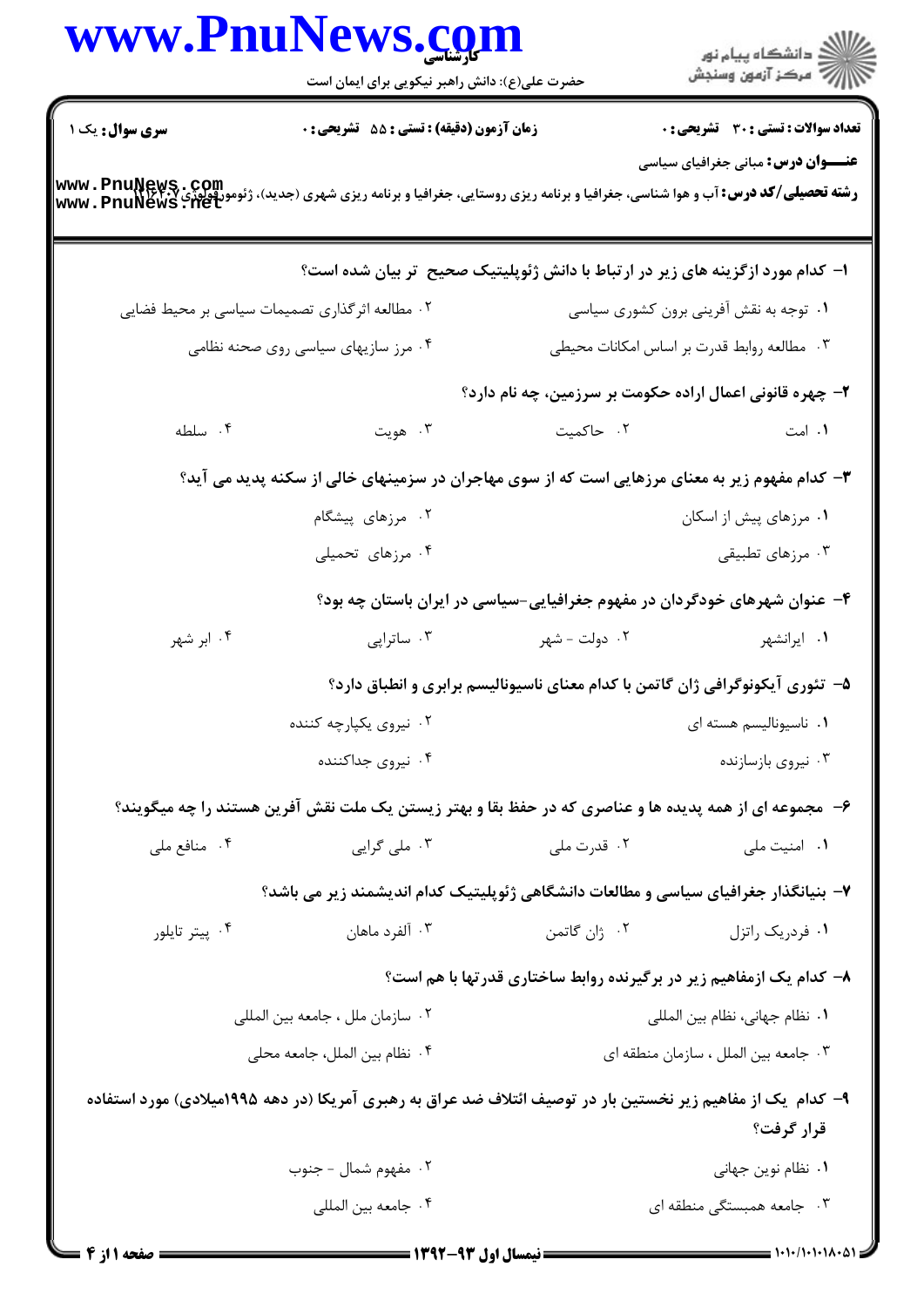| ر<br>دانشڪاه پيام نور)<br>ا∛ مرڪز آزمون وسنڊش |                                                                                | www.PnulNews.com<br>حضرت علی(ع): دانش راهبر نیکویی برای ایمان است                                                                                 |                        |
|-----------------------------------------------|--------------------------------------------------------------------------------|---------------------------------------------------------------------------------------------------------------------------------------------------|------------------------|
| <b>تعداد سوالات : تستی : 30 ٪ تشریحی : 0</b>  |                                                                                | زمان آزمون (دقیقه) : تستی : 55 آتشریحی : 0                                                                                                        | <b>سری سوال :</b> یک ۱ |
| <b>عنـــوان درس:</b> مبانی جغرافیای سیاسی     |                                                                                | <b>رشته تحصیلی/کد درس: آب و هوا شناسی، جغرافیا و برنامه ریزی روستایی، جغرافیا و برنامه ریزی شهری (جدید)، ژئومورفولوژی<br/>www . PnuNews . Het</b> |                        |
|                                               |                                                                                | ا– کدام مورد ازگزینه های زیر در ارتباط با دانش ژئوپلیتیک صحیح تر بیان شده است؟                                                                    |                        |
| ۰۱ توجه به نقش آفرینی برون کشوری سیاسی        |                                                                                | ۰۲ مطالعه اثرگذاری تصمیمات سیاسی بر محیط فضایی                                                                                                    |                        |
| ۰۳ مطالعه روابط قدرت بر اساس امكانات محيطى    |                                                                                | ۰۴ مرز سازیهای سیاسی روی صحنه نظامی                                                                                                               |                        |
|                                               | ۲- چهره قانونی اعمال اراده حکومت بر سرزمین، چه نام دارد؟                       |                                                                                                                                                   |                        |
| ۰۱ امت                                        | ۰۲ حاکمیت                                                                      | ۰۳ هويت                                                                                                                                           | ۰۴ سلطه                |
|                                               |                                                                                | ۳- کدام مفهوم زیر به معنای مرزهایی است که از سوی مهاجران در سزمینهای خالی از سکنه پدید می آید؟                                                    |                        |
| ۰۱ مرزهای پیش از اسکان                        |                                                                                | ۰۲ مرزهای پیشگام                                                                                                                                  |                        |
| ۰۳ مرزهای تطبیقی                              |                                                                                | ۰۴ مرزهای تحمیلی                                                                                                                                  |                        |
|                                               | ۴- عنوان شهرهای خودگردان در مفهوم جغرافیایی-سیاسی در ایران باستان چه بود؟      |                                                                                                                                                   |                        |
| ۰۱ ایرانشهر                                   | ۰۲ دولت - شهر                                                                  | ۰۳ ساتراپی                                                                                                                                        | ۰۴ ابر شهر             |
|                                               | ۵– تئوری آیکونوگرافی ژان گاتمن با کدام معنای ناسیونالیسم برابری و انطباق دارد؟ |                                                                                                                                                   |                        |
|                                               | ۰۱ ناسیونالیسم هسته ای                                                         | ۰۲ نیروی یکپارچه کننده                                                                                                                            |                        |
| ۰۳ نیروی بازسازنده                            |                                                                                | ۰۴ نیروی جداکننده                                                                                                                                 |                        |
|                                               |                                                                                | ۶– مجموعه ای از همه پدیده ها و عناصری که در حفظ بقا و بهتر زیستن یک ملت نقش آفرین هستند را چه میگویند؟                                            |                        |
| ۰۱ امنیت ملی                                  | ۰۲ قدرت ملي                                                                    | ۰۳ ملي گرايي                                                                                                                                      | ۰۴ منافع ملي           |
|                                               |                                                                                | ۷- بنیانگذار جغرافیای سیاسی و مطالعات دانشگاهی ژئوپلیتیک کدام اندیشمند زیر می باشد؟                                                               |                        |
| ۰۱ فردریک راتزل                               | ۰۲ ژان گاتمن                                                                   | ۰۳ آلفرد ماهان                                                                                                                                    | ۰۴ پیتر تایلور         |
|                                               | ۸- کدام یک ازمفاهیم زیر در برگیرنده روابط ساختاری قدرتها با هم است؟            |                                                                                                                                                   |                        |
| ٠١. نظام جهاني، نظام بين المللي               |                                                                                | ۰۲ سازمان ملل ، جامعه بين المللي                                                                                                                  |                        |
| ۰۳ جامعه بين الملل ، سازمان منطقه اي          |                                                                                | ۰۴ نظام بين الملل، جامعه محلي                                                                                                                     |                        |
| قرار گرفت؟                                    |                                                                                | ۹– کدام یک از مفاهیم زیر نخستین بار در توصیف ائتلاف ضد عراق به رهبری آمریکا (در دهه ۱۹۹۵میلادی) مورد استفاده                                      |                        |
| ٠١. نظام نوين جهاني                           |                                                                                | ۰۲ مفهوم شمال - جنوب                                                                                                                              |                        |
| ۰۳ جامعه همبستگی منطقه ای                     |                                                                                | ۰۴ جامعه بين المللي                                                                                                                               |                        |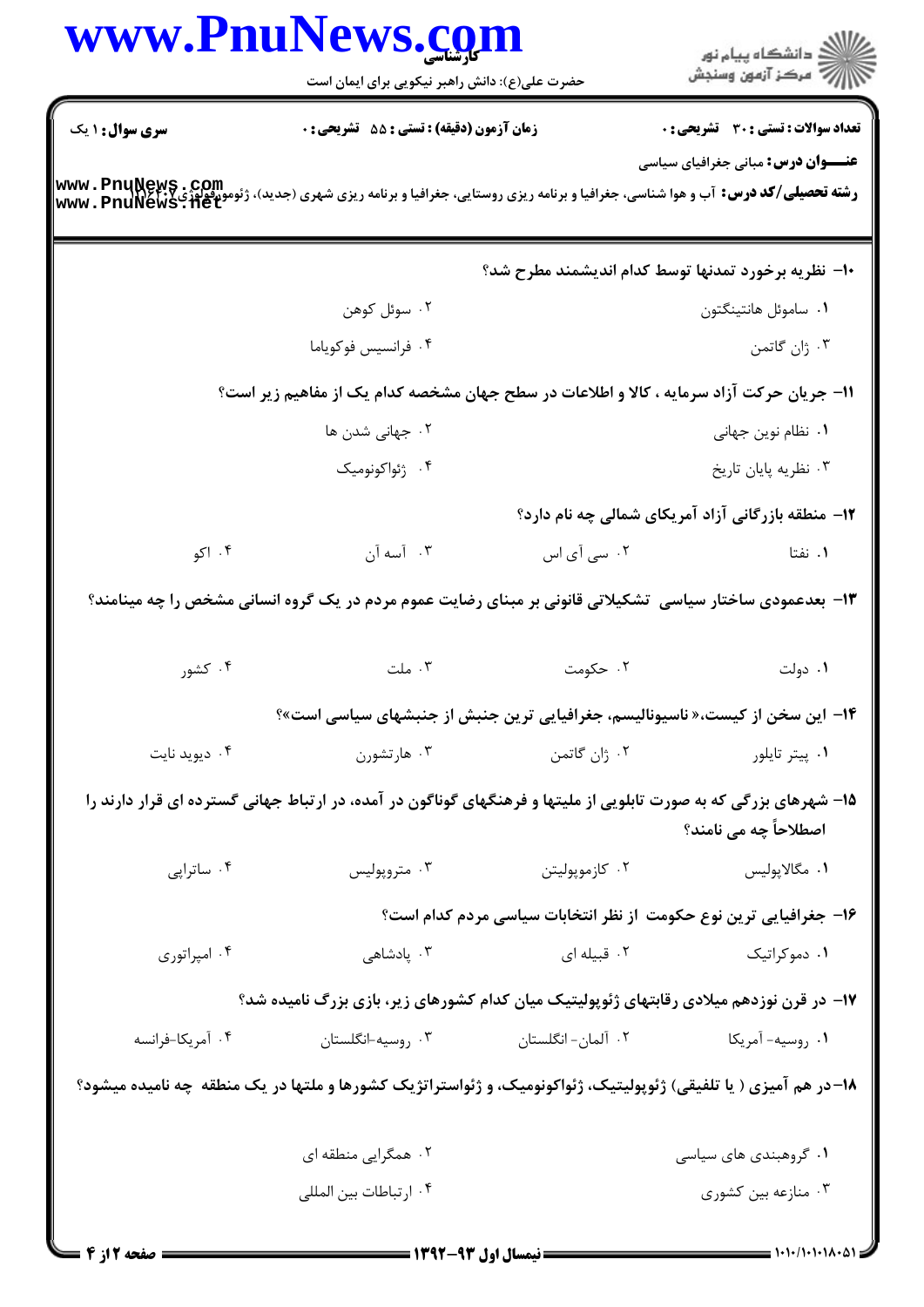|                  | حضرت علی(ع): دانش راهبر نیکویی برای ایمان است                                                                                                                                |                                                     | ِ<br>∭ دانشڪاه پيام نور<br>∭ مرڪز آزمون وسنڊش                     |
|------------------|------------------------------------------------------------------------------------------------------------------------------------------------------------------------------|-----------------------------------------------------|-------------------------------------------------------------------|
| سری سوال : ۱ یک  | زمان آزمون (دقیقه) : تستی : 55 آتشریحی : 0                                                                                                                                   |                                                     | <b>تعداد سوالات : تستی : 30 ٪ تشریحی : 0</b>                      |
|                  | <b>رشته تحصیلی/کد درس:</b> آب و هوا شناسی، جغرافیا و برنامه ریزی روستایی، جغرافیا و برنامه ریزی شهری (جدید)، ژئومورفولوژی <b>www . PnuNews . Com</b><br>www . PnuNews . 11et |                                                     | <b>عنـــوان درس:</b> مبانی جغرافیای سیاسی                         |
|                  |                                                                                                                                                                              |                                                     | ۱۰– نظریه برخورد تمدنها توسط کدام اندیشمند مطرح شد؟               |
|                  | ۰۲ سوئل کوهن                                                                                                                                                                 |                                                     | ٠١ ساموئل هانتينگتون                                              |
|                  | ۰۴ فرانسيس فوكوياما                                                                                                                                                          |                                                     | ۰۳ ژان گاتمن                                                      |
|                  | 11- جریان حرکت آزاد سرمایه ، کالا و اطلاعات در سطح جهان مشخصه کدام یک از مفاهیم زیر است؟                                                                                     |                                                     |                                                                   |
|                  | ۰۲ جهانی شدن ها                                                                                                                                                              |                                                     | ۰۱ نظام نوین جهانی                                                |
|                  | ۰۴ ژئواکونومیک                                                                                                                                                               |                                                     | ۰۳ نظریه پایان تاریخ                                              |
|                  |                                                                                                                                                                              |                                                     | <b>۱۲</b> - منطقه بازرگانی آزاد آمریکای شمالی چه نام دارد؟        |
| ۰۴ اکو           | ۰۳ آسه آن                                                                                                                                                                    | ۰۲ سی آی اس                                         | ۰۱ نفتا                                                           |
|                  |                                                                                                                                                                              |                                                     |                                                                   |
|                  | ۱۳- بعدعمودی ساختار سیاسی  تشکیلاتی قانونی بر مبنای رضایت عموم مردم در یک گروه انسانی مشخص را چه مینامند؟                                                                    |                                                     |                                                                   |
| ۰۴ کشور          | . ملت                                                                                                                                                                        | ۲. حکومت                                            | ۰۱ دولت                                                           |
|                  | ۱۴– این سخن از کیست،« ناسیونالیسم، جغرافیایی ترین جنبش از جنبشهای سیاسی است»؟                                                                                                |                                                     |                                                                   |
| ۰۴ دیوید نایت    |                                                                                                                                                                              | ۰۱ پیتر تایلور مسلمان ۲۰ ژان گاتمن است. ۲۰ مارتشورن |                                                                   |
|                  | ۱۵– شهرهای بزرگی که به صورت تابلویی از ملیتها و فرهنگهای گوناگون در آمده، در ارتباط جهانی گسترده ای قرار دارند را                                                            |                                                     | اصطلاحاً چه می نامند؟                                             |
| ۰۴ ساتراپی       | ۰۳ متروپولیس                                                                                                                                                                 | ۰۲ کازموپولیتن                                      | ٠١ مگالاپوليس                                                     |
|                  |                                                                                                                                                                              |                                                     |                                                                   |
| ۰۴ امپراتوری     | ۰۳ پادشاهی                                                                                                                                                                   | ۰۲ قبیله ای                                         | ۰۱ دموکراتیک                                                      |
|                  | ۱۷– در قرن نوزدهم میلادی رقابتهای ژئوپولیتیک میان کدام کشورهای زیر، بازی بزرگ نامیده شد؟                                                                                     |                                                     | ۱۶– جغرافیایی ترین نوع حکومت از نظر انتخابات سیاسی مردم کدام است؟ |
| ۰۴ آمريكا-فرانسه | ۰۳ روسيه-انگلستان                                                                                                                                                            | ۰۲ آلمان- انگلستان                                  | ۰۱ روسيه- آمريکا                                                  |
|                  | ۱۸–در هم آمیزی ( یا تلفیقی) ژئوپولیتیک، ژئواکونومیک، و ژئواستراتژیک کشورها و ملتها در یک منطقه چه نامیده میشود؟                                                              |                                                     |                                                                   |
|                  | ۰۲ همگرایی منطقه ای                                                                                                                                                          |                                                     | ۰۱ گروهبندی های سیاسی                                             |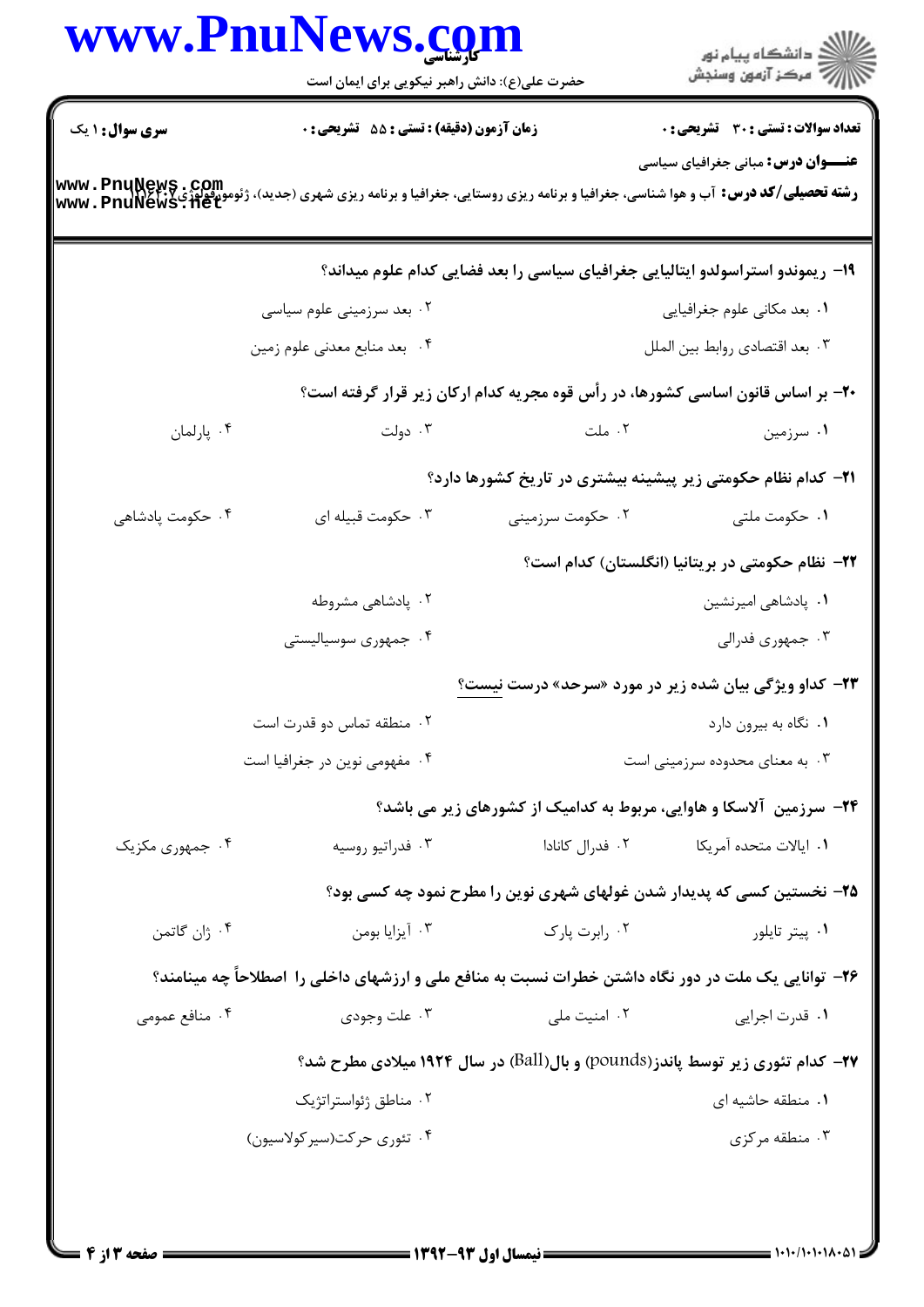|                        | حضرت علی(ع): دانش راهبر نیکویی برای ایمان است                                                                                                                                |                  | ر<br>دانشڪاه پيام نور)<br>ا∛ مرڪز آزمون وسنڊش                                        |
|------------------------|------------------------------------------------------------------------------------------------------------------------------------------------------------------------------|------------------|--------------------------------------------------------------------------------------|
| <b>سری سوال : ۱ یک</b> | زمان آزمون (دقیقه) : تستی : 55 آتشریحی : 0                                                                                                                                   |                  | <b>تعداد سوالات : تستی : 30 ٪ تشریحی : 0</b>                                         |
|                        | <b>رشته تحصیلی/کد درس:</b> آب و هوا شناسی، جغرافیا و برنامه ریزی روستایی، جغرافیا و برنامه ریزی شهری (جدید)، ژئومورفولوژی <b>www . PnuNews . det</b><br>www . PnuNews . 11et |                  | <b>عنـــوان درس:</b> مبانی جغرافیای سیاسی                                            |
|                        |                                                                                                                                                                              |                  | ۱۹- ریموندو استراسولدو ایتالیایی جغرافیای سیاسی را بعد فضایی کدام علوم میداند؟       |
|                        | ۰۲ بعد سرزمینی علوم سیاسی                                                                                                                                                    |                  | ٠١ بعد مكاني علوم جغرافيايي                                                          |
|                        | ۰۴ بعد منابع معدني علوم زمين                                                                                                                                                 |                  | ۰۳ بعد اقتصادي روابط بين الملل                                                       |
|                        |                                                                                                                                                                              |                  | +۲- بر اساس قانون اساسی کشورها، در رأس قوه مجریه کدام ارکان زیر قرار گرفته است؟      |
| ۰۴ پارلمان             | ۰۳ دولت                                                                                                                                                                      | ۰۲ ملت           | ۰۱ سرزمین                                                                            |
|                        |                                                                                                                                                                              |                  | <b>۲۱</b> - کدام نظام حکومتی زیر پیشینه بیشتری در تاریخ کشورها دارد؟                 |
| ۰۴ حکومت پادشاهی       | ۰۳ حکومت قبیله ای                                                                                                                                                            | ۰۲ حکومت سرزمینی | ٠١ حكومت ملتى                                                                        |
|                        |                                                                                                                                                                              |                  | ۲۲– نظام حکومتی در بریتانیا (انگلستان) کدام است؟                                     |
|                        | ۰۲ پادشاهی مشروطه                                                                                                                                                            |                  | ٠١ پادشاهي اميرنشين                                                                  |
|                        | ۰۴ جمهوری سوسیالیستی                                                                                                                                                         |                  | ۰۳ جمهوری فدرالی                                                                     |
|                        |                                                                                                                                                                              |                  | <b>۲۳</b> - کداو ویژگی بیان شده زیر در مورد «سرحد» درست <u>نیست؟</u>                 |
|                        | ۰۲ منطقه تماس دو قدرت است                                                                                                                                                    |                  | ۰۱ نگاه به بیرون دارد                                                                |
|                        | ۰۴ مفهومی نوین در جغرافیا است                                                                                                                                                |                  | ۰۳ به معنای محدوده سرزمینی است                                                       |
|                        |                                                                                                                                                                              |                  | ۲۴- سرزمین آلاسکا و هاوایی، مربوط به کدامیک از کشورهای زیر می باشد؟                  |
| ۰۴ جمهوری مکزیک        | ۰۳ فدراتيو روسيه                                                                                                                                                             | ۰۲ فدرال کانادا  | ٠١. ايالات متحده آمريكا                                                              |
|                        |                                                                                                                                                                              |                  | ۲۵– نخستین کسی که پدیدار شدن غولهای شهری نوین را مطرح نمود چه کسی بود؟               |
| ۰۴ ژان گاتمن           | ۰۳ آیزایا بومن                                                                                                                                                               | ۰۲ رابرت پارک    | ۰۱ پیتر تایلور                                                                       |
|                        | ۲۶- توانایی یک ملت در دور نگاه داشتن خطرات نسبت به منافع ملی و ارزشهای داخلی را اصطلاحاً چه مینامند؟                                                                         |                  |                                                                                      |
| ۰۴ منافع عمومی         | ۰۳ علت وجودی                                                                                                                                                                 | ۰۲ امنیت ملی     | ۰۱ قدرت اجرای <sub>ی</sub>                                                           |
|                        |                                                                                                                                                                              |                  | <b>۲۷-</b> کدام تئوری زیر توسط پاندز(pounds) و بال(Ball) در سال ۱۹۲۴ میلادی مطرح شد؟ |
|                        | ۰۲ مناطق ژئواستراتژیک                                                                                                                                                        |                  | ۰۱ منطقه حاشیه ای                                                                    |
|                        | ۰۴ تئوری حرکت(سیر کولاسیون)                                                                                                                                                  |                  | ۰۳ منطقه مرکزی                                                                       |

 $= 1.1 - 11.1 - 11.1 - 0.1$